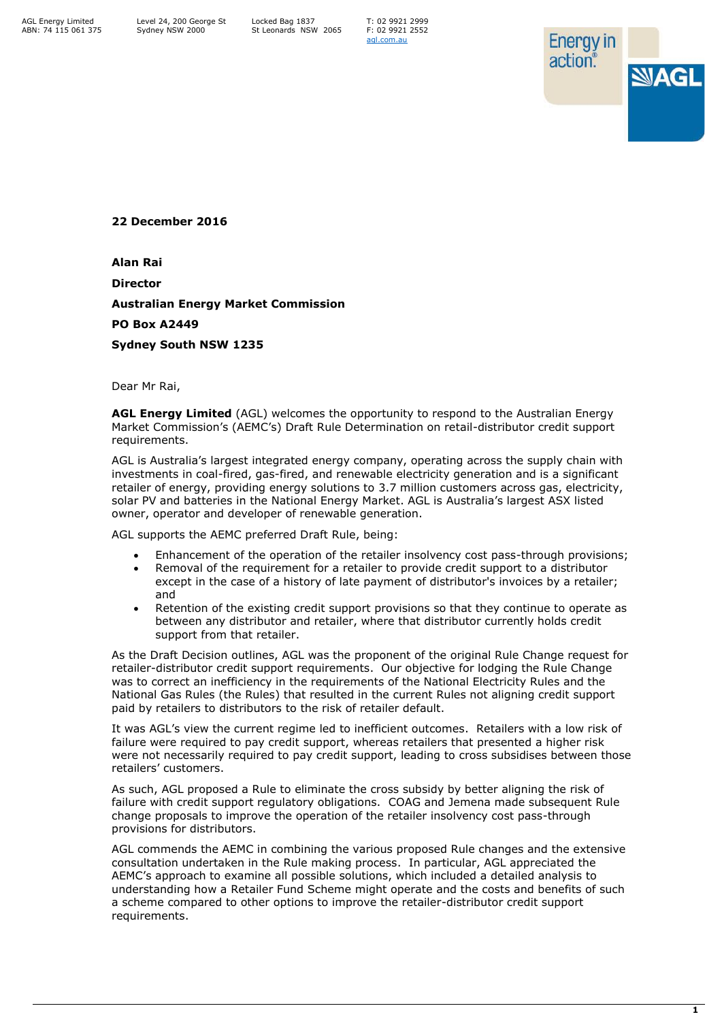AGL Energy Limited ABN: 74 115 061 375 T: 02 9921 2999 F: 02 9921 2552 [agl.com.au](https://www.agl.com.au/about-agl)



**22 December 2016**

**Alan Rai**

**Director**

**Australian Energy Market Commission**

**PO Box A2449**

**Sydney South NSW 1235**

Dear Mr Rai,

**AGL Energy Limited** (AGL) welcomes the opportunity to respond to the Australian Energy Market Commission's (AEMC's) Draft Rule Determination on retail-distributor credit support requirements.

AGL is Australia's largest integrated energy company, operating across the supply chain with investments in coal-fired, gas-fired, and renewable electricity generation and is a significant retailer of energy, providing energy solutions to 3.7 million customers across gas, electricity, solar PV and batteries in the National Energy Market. AGL is Australia's largest ASX listed owner, operator and developer of renewable generation.

AGL supports the AEMC preferred Draft Rule, being:

- Enhancement of the operation of the retailer insolvency cost pass-through provisions;
- Removal of the requirement for a retailer to provide credit support to a distributor except in the case of a history of late payment of distributor's invoices by a retailer; and
- Retention of the existing credit support provisions so that they continue to operate as between any distributor and retailer, where that distributor currently holds credit support from that retailer.

As the Draft Decision outlines, AGL was the proponent of the original Rule Change request for retailer-distributor credit support requirements. Our objective for lodging the Rule Change was to correct an inefficiency in the requirements of the National Electricity Rules and the National Gas Rules (the Rules) that resulted in the current Rules not aligning credit support paid by retailers to distributors to the risk of retailer default.

It was AGL's view the current regime led to inefficient outcomes. Retailers with a low risk of failure were required to pay credit support, whereas retailers that presented a higher risk were not necessarily required to pay credit support, leading to cross subsidises between those retailers' customers.

As such, AGL proposed a Rule to eliminate the cross subsidy by better aligning the risk of failure with credit support regulatory obligations. COAG and Jemena made subsequent Rule change proposals to improve the operation of the retailer insolvency cost pass-through provisions for distributors.

AGL commends the AEMC in combining the various proposed Rule changes and the extensive consultation undertaken in the Rule making process. In particular, AGL appreciated the AEMC's approach to examine all possible solutions, which included a detailed analysis to understanding how a Retailer Fund Scheme might operate and the costs and benefits of such a scheme compared to other options to improve the retailer-distributor credit support requirements.